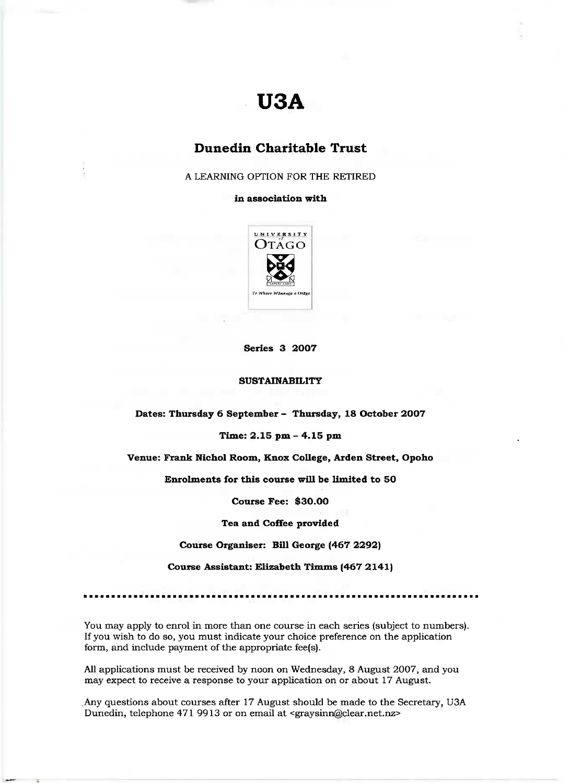# **U3A**

# **Dunedin Charitable Trust**

A LEARNING OPTION FOR THE RETIRED

**in association with**



**Series 3 2007**

#### **SUSTAINABILITY**

**Dates: Thursday 6 September - Thursday, 18 October 2007**

## **Time: 2.15 pm - 4.15 pm**

#### **Venue: Frank Nichol Room, Knox College, Arden Street, Opoho**

**Enrolments for this course will be limited to 50**

**Course Fee: \$30.00**

**Tea and Coffee provided**

**Course Organiser: Bill George (467 2292)**

**Course Assistant: Elizabeth Timms (467 2141)**

You may apply to enrol in more than one course in each series (subject to numbers). If you wish to do so, you must indicate your choice preference on the application form, and include payment of the appropriate fee(s).

All applications must be received by noon on Wednesday, 8 August 2007, and you may expect to receive a response to your application on or about 17 August.

Any questions about courses after 17 August should be made to the Secretary, USA Dunedin, telephone 471 9913 or on email at <graysinn@clear.net.nz>